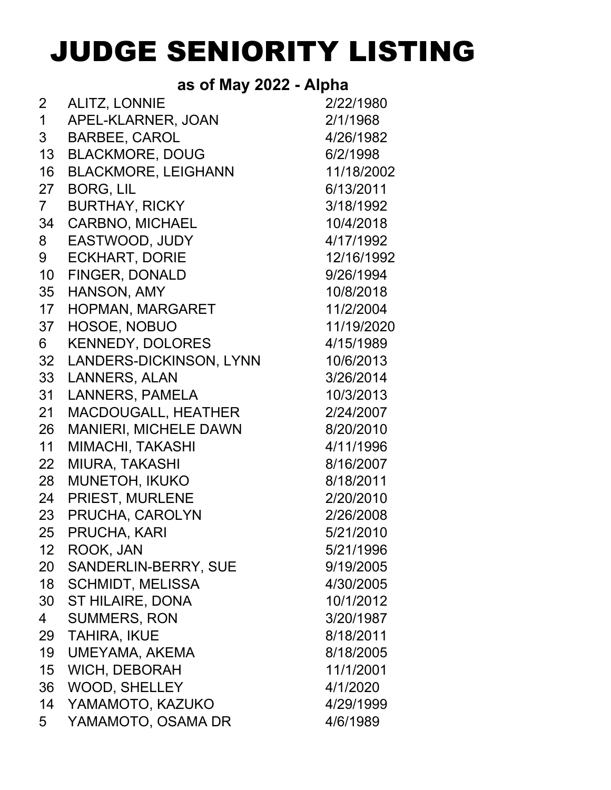## JUDGE SENIORITY LISTING

## **as of May 2022 - Alpha**

| $\overline{2}$  | <b>ALITZ, LONNIE</b>           | 2/22/1980  |
|-----------------|--------------------------------|------------|
| $\mathbf 1$     | APEL-KLARNER, JOAN             | 2/1/1968   |
| 3               | <b>BARBEE, CAROL</b>           | 4/26/1982  |
| 13 <sup>7</sup> | <b>BLACKMORE, DOUG</b>         | 6/2/1998   |
| 16              | <b>BLACKMORE, LEIGHANN</b>     | 11/18/2002 |
| 27              | <b>BORG, LIL</b>               | 6/13/2011  |
| $7\phantom{.}$  | <b>BURTHAY, RICKY</b>          | 3/18/1992  |
| 34              | <b>CARBNO, MICHAEL</b>         | 10/4/2018  |
| 8               | EASTWOOD, JUDY                 | 4/17/1992  |
| 9               | <b>ECKHART, DORIE</b>          | 12/16/1992 |
| 10 <sup>1</sup> | <b>FINGER, DONALD</b>          | 9/26/1994  |
| 35              | HANSON, AMY                    | 10/8/2018  |
| 17 <sub>2</sub> | HOPMAN, MARGARET               | 11/2/2004  |
| 37              | HOSOE, NOBUO                   | 11/19/2020 |
| 6               | <b>KENNEDY, DOLORES</b>        | 4/15/1989  |
| 32              | <b>LANDERS-DICKINSON, LYNN</b> | 10/6/2013  |
| 33              | <b>LANNERS, ALAN</b>           | 3/26/2014  |
| 31              | <b>LANNERS, PAMELA</b>         | 10/3/2013  |
| 21              | <b>MACDOUGALL, HEATHER</b>     | 2/24/2007  |
| 26              | <b>MANIERI, MICHELE DAWN</b>   | 8/20/2010  |
| 11              | <b>MIMACHI, TAKASHI</b>        | 4/11/1996  |
| 22              | <b>MIURA, TAKASHI</b>          | 8/16/2007  |
| 28              | MUNETOH, IKUKO                 | 8/18/2011  |
| 24              | PRIEST, MURLENE                | 2/20/2010  |
| 23              | PRUCHA, CAROLYN                | 2/26/2008  |
| 25 <sub>2</sub> | PRUCHA, KARI                   | 5/21/2010  |
| 12              | ROOK, JAN                      | 5/21/1996  |
| 20              | SANDERLIN-BERRY, SUE           | 9/19/2005  |
| 18              | <b>SCHMIDT, MELISSA</b>        | 4/30/2005  |
| 30              | <b>ST HILAIRE, DONA</b>        | 10/1/2012  |
| 4               | <b>SUMMERS, RON</b>            | 3/20/1987  |
| 29              | <b>TAHIRA, IKUE</b>            | 8/18/2011  |
| 19              | UMEYAMA, AKEMA                 | 8/18/2005  |
| 15 <sub>1</sub> | <b>WICH, DEBORAH</b>           | 11/1/2001  |
| 36              | <b>WOOD, SHELLEY</b>           | 4/1/2020   |
| 14              | YAMAMOTO, KAZUKO               | 4/29/1999  |
| 5               | YAMAMOTO, OSAMA DR             | 4/6/1989   |